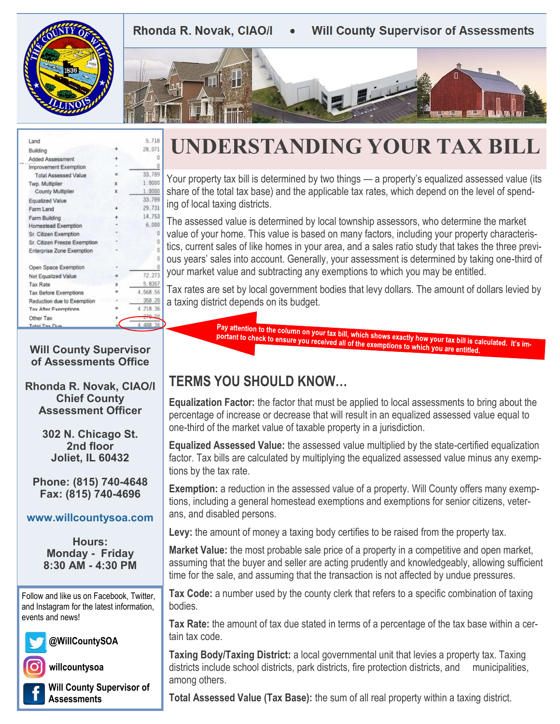Rhonda R. Novak, CIAO/I **Will County Supervisor of Assessments** 





| Land                         |                              |             | 5.718    |
|------------------------------|------------------------------|-------------|----------|
| Building                     |                              |             | 28.071   |
|                              | Added Assessment             |             | Ω        |
| Improvement Exemption        |                              |             | 0        |
|                              | <b>Total Assessed Value</b>  | ≡           | 33.789   |
| Twp. Multiplier              |                              | $\mathbf x$ | 1.0000   |
|                              | County Multiplier            | x           | 1,0000   |
| Equalized Value              |                              |             | 33.789   |
| Farm Land                    |                              | $\ddot{}$   | 29.731   |
| Farm Building                |                              |             | 14.753   |
|                              | Homestead Exemption          |             | 6.000    |
|                              | Sr. Citizen Exemption        |             | 0        |
|                              | Sr. Citizen Freeze Exemption |             | 0        |
| Enterprise Zone Exemption    |                              |             | n        |
|                              |                              |             | O        |
|                              | Open Space Exemption         |             | 0        |
| Net Equalized Value          |                              | =           | 72.273   |
|                              | <b>Tax Rate</b>              |             | 5.8367   |
| <b>Tax Before Exemptions</b> |                              |             | 4,568.56 |
|                              | Reduction due to Exemption   |             | 350.20   |
|                              | Tax After Exemptions         |             | 4.218.36 |
| Other Tax                    |                              |             | 270.00   |
| <b>Total Tay Dup</b>         |                              |             | 4.488.36 |
|                              |                              |             |          |

# **UNDERSTANDING YOUR TAX BILL**

Your property tax bill is determined by two things — a property's equalized assessed value (its share of the total tax base) and the applicable tax rates, which depend on the level of spend- $00$ ing of local taxing districts.

The assessed value is determined by local township assessors, who determine the market value of your home. This value is based on many factors, including your property characteristics, current sales of like homes in your area, and a sales ratio study that takes the three previous years' sales into account. Generally, your assessment is determined by taking one-third of your market value and subtracting any exemptions to which you may be entitled.

Tax rates are set by local government bodies that levy dollars. The amount of dollars levied by a taxing district depends on its budget.

> Pay attention to the column on your tax bill, which shows exactly how your tax bill is calculated. It's important to check to ensure you received all of the exemptions to which you are entitled portant to check to ensure you received all of the exemptions to which you are entitled.

### **Will County Supervisor of Assessments Office**

**Rhonda R. Novak, CIAO/I Chief County Assessment Officer**

> **302 N. Chicago St. 2nd floor Joliet, IL 60432**

**Phone: (815) 740-4648 Fax: (815) 740-4696**

## **www.willcountysoa.com**

**Hours: Monday - Friday 8:30 AM - 4:30 PM**

Follow and like us on Facebook, Twitter, and Instagram for the latest information, events and news!



**@WillCountySOA**

**willcountysoa**

**Will County Supervisor of Assessments**

## **TERMS YOU SHOULD KNOW…**

**Equalization Factor:** the factor that must be applied to local assessments to bring about the percentage of increase or decrease that will result in an equalized assessed value equal to one-third of the market value of taxable property in a jurisdiction.

**Equalized Assessed Value:** the assessed value multiplied by the state-certified equalization factor. Tax bills are calculated by multiplying the equalized assessed value minus any exemptions by the tax rate.

**Exemption:** a reduction in the assessed value of a property. Will County offers many exemptions, including a general homestead exemptions and exemptions for senior citizens, veterans, and disabled persons.

**Levy:** the amount of money a taxing body certifies to be raised from the property tax.

**Market Value:** the most probable sale price of a property in a competitive and open market, assuming that the buyer and seller are acting prudently and knowledgeably, allowing sufficient time for the sale, and assuming that the transaction is not affected by undue pressures.

**Tax Code:** a number used by the county clerk that refers to a specific combination of taxing bodies.

**Tax Rate:** the amount of tax due stated in terms of a percentage of the tax base within a certain tax code.

**Taxing Body/Taxing District:** a local governmental unit that levies a property tax. Taxing districts include school districts, park districts, fire protection districts, and municipalities, among others.

**Total Assessed Value (Tax Base):** the sum of all real property within a taxing district.